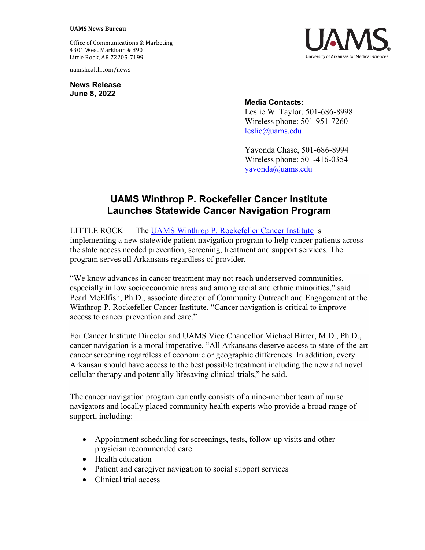## **UAMS News Bureau**

Office of Communications & Marketing 4301 West Markham # 890 Little Rock, AR 72205-7199

uamshealth.com/news

**News Release June 8, 2022**



## **Media Contacts:** Leslie W. Taylor, 501-686-8998 Wireless phone: 501-951-7260 [leslie@uams.edu](mailto:leslie@uams.edu)

Yavonda Chase, 501-686-8994 Wireless phone: 501-416-0354 [yavonda@uams.edu](mailto:yavonda@uams.edu)

## **UAMS Winthrop P. Rockefeller Cancer Institute Launches Statewide Cancer Navigation Program**

LITTLE ROCK — The UAMS Winthrop P. Rockefeller Cancer Institute is implementing a new statewide patient navigation program to help cancer patients across the state access needed prevention, screening, treatment and support services. The program serves all Arkansans regardless of provider.

"We know advances in cancer treatment may not reach underserved communities, especially in low socioeconomic areas and among racial and ethnic minorities," said Pearl McElfish, Ph.D., associate director of Community Outreach and Engagement at the Winthrop P. Rockefeller Cancer Institute. "Cancer navigation is critical to improve access to cancer prevention and care."

For Cancer Institute Director and UAMS Vice Chancellor Michael Birrer, M.D., Ph.D., cancer navigation is a moral imperative. "All Arkansans deserve access to state-of-the-art cancer screening regardless of economic or geographic differences. In addition, every Arkansan should have access to the best possible treatment including the new and novel cellular therapy and potentially lifesaving clinical trials," he said.

The cancer navigation program currently consists of a nine-member team of nurse navigators and locally placed community health experts who provide a broad range of support, including:

- Appointment scheduling for screenings, tests, follow-up visits and other physician recommended care
- Health education
- Patient and caregiver navigation to social support services
- Clinical trial access